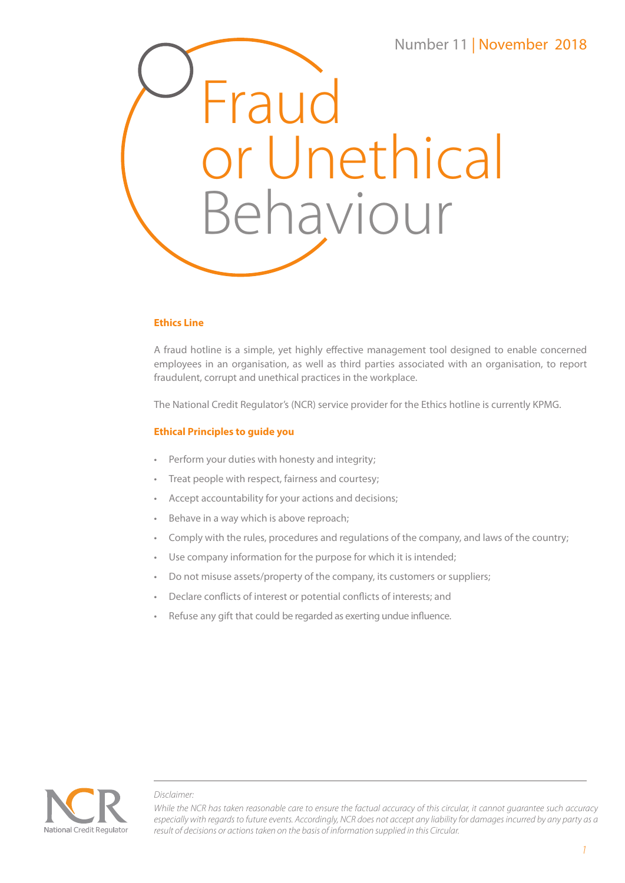

### **Ethics Line**

A fraud hotline is a simple, yet highly effective management tool designed to enable concerned employees in an organisation, as well as third parties associated with an organisation, to report fraudulent, corrupt and unethical practices in the workplace.

The National Credit Regulator's (NCR) service provider for the Ethics hotline is currently KPMG.

#### **Ethical Principles to guide you**

- Perform your duties with honesty and integrity;
- Treat people with respect, fairness and courtesy;
- Accept accountability for your actions and decisions;
- Behave in a way which is above reproach;
- Comply with the rules, procedures and regulations of the company, and laws of the country;
- Use company information for the purpose for which it is intended;
- Do not misuse assets/property of the company, its customers or suppliers;
- Declare conflicts of interest or potential conflicts of interests; and
- Refuse any gift that could be regarded as exerting undue influence.



#### *Disclaimer:*

*While the NCR has taken reasonable care to ensure the factual accuracy of this circular, it cannot guarantee such accuracy especially with regards to future events. Accordingly, NCR does not accept any liability for damages incurred by any party as a result of decisions or actions taken on the basis of information supplied in this Circular.*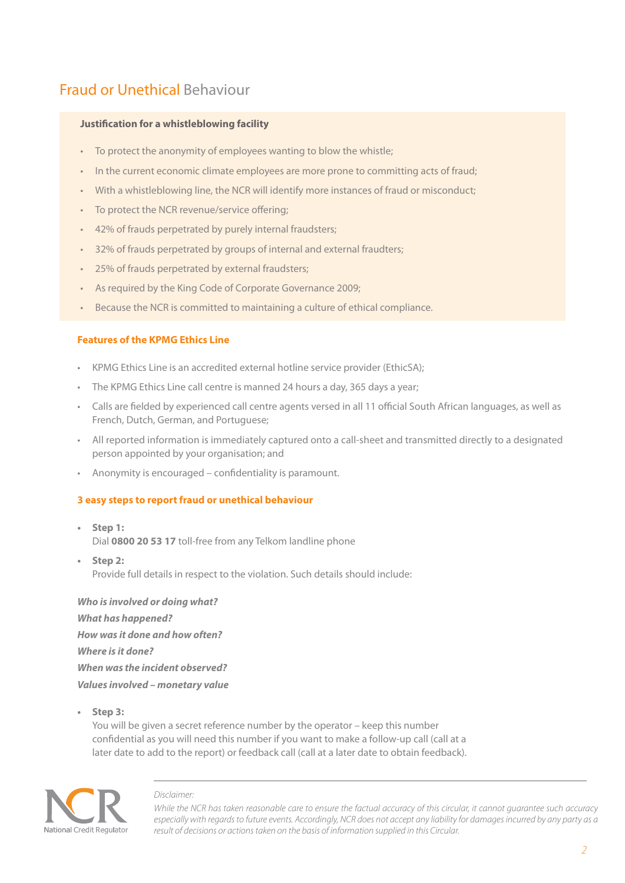# Fraud or Unethical Behaviour

### **Justification for a whistleblowing facility**

- To protect the anonymity of employees wanting to blow the whistle;
- In the current economic climate employees are more prone to committing acts of fraud;
- With a whistleblowing line, the NCR will identify more instances of fraud or misconduct;
- To protect the NCR revenue/service offering;
- 42% of frauds perpetrated by purely internal fraudsters;
- 32% of frauds perpetrated by groups of internal and external fraudters;
- 25% of frauds perpetrated by external fraudsters;
- As required by the King Code of Corporate Governance 2009;
- Because the NCR is committed to maintaining a culture of ethical compliance.

### **Features of the KPMG Ethics Line**

- KPMG Ethics Line is an accredited external hotline service provider (EthicSA);
- The KPMG Ethics Line call centre is manned 24 hours a day, 365 days a year;
- Calls are fielded by experienced call centre agents versed in all 11 official South African languages, as well as French, Dutch, German, and Portuguese;
- All reported information is immediately captured onto a call-sheet and transmitted directly to a designated person appointed by your organisation; and
- Anonymity is encouraged confidentiality is paramount.

#### **3 easy steps to report fraud or unethical behaviour**

- **Step 1:** Dial **0800 20 53 17** toll-free from any Telkom landline phone
- **Step 2:** Provide full details in respect to the violation. Such details should include:

*Who is involved or doing what? What has happened? How was it done and how often? Where is it done? When was the incident observed? Values involved – monetary value*

**• Step 3:**

You will be given a secret reference number by the operator – keep this number confidential as you will need this number if you want to make a follow-up call (call at a later date to add to the report) or feedback call (call at a later date to obtain feedback).



#### *Disclaimer:*

*While the NCR has taken reasonable care to ensure the factual accuracy of this circular, it cannot guarantee such accuracy especially with regards to future events. Accordingly, NCR does not accept any liability for damages incurred by any party as a result of decisions or actions taken on the basis of information supplied in this Circular.*